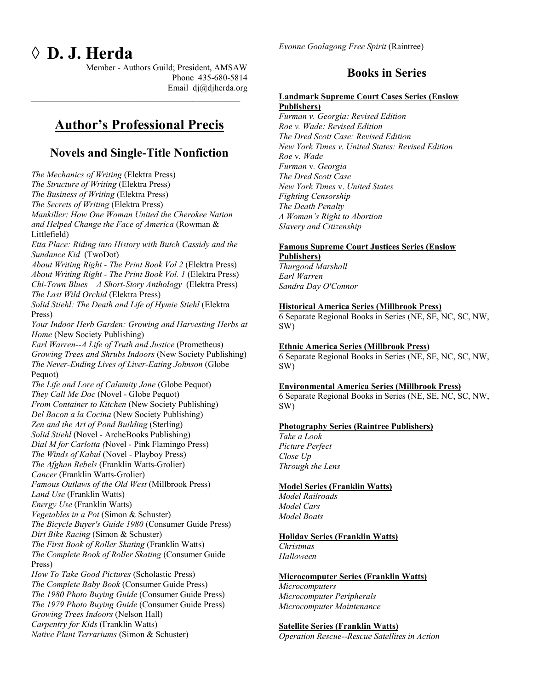# ◊ **D. J. Herda**

Member - Authors Guild; President, AMSAW Phone 435-680-5814 Email dj@djherda.org

# **Author's Professional Precis**

 $\_$  . The contribution of the contribution of  $\mathcal{L}_\mathcal{A}$ 

### **Novels and Single-Title Nonfiction**

*The Mechanics of Writing* (Elektra Press) *The Structure of Writing* (Elektra Press) *The Business of Writing* (Elektra Press) *The Secrets of Writing* (Elektra Press) *Mankiller: How One Woman United the Cherokee Nation and Helped Change the Face of America* (Rowman & Littlefield) *Etta Place: Riding into History with Butch Cassidy and the Sundance Kid* (TwoDot) *About Writing Right - The Print Book Vol 2* (Elektra Press) *About Writing Right - The Print Book Vol. 1* (Elektra Press) *Chi-Town Blues – A Short-Story Anthology* (Elektra Press) *The Last Wild Orchid* (Elektra Press) *Solid Stiehl: The Death and Life of Hymie Stiehl* (Elektra Press) *Your Indoor Herb Garden: Growing and Harvesting Herbs at Home* (New Society Publishing) *Earl Warren--A Life of Truth and Justice* (Prometheus) *Growing Trees and Shrubs Indoors* (New Society Publishing) *The Never-Ending Lives of Liver-Eating Johnson* (Globe Pequot) *The Life and Lore of Calamity Jane* (Globe Pequot) *They Call Me Doc* (Novel - Globe Pequot) *From Container to Kitchen* (New Society Publishing) *Del Bacon a la Cocina* (New Society Publishing) *Zen and the Art of Pond Building* (Sterling) *Solid Stiehl* (Novel - ArcheBooks Publishing) *Dial M for Carlotta (*Novel - Pink Flamingo Press) *The Winds of Kabul* (Novel - Playboy Press) *The Afghan Rebels* (Franklin Watts-Grolier) *Cancer* (Franklin Watts-Grolier) *Famous Outlaws of the Old West* (Millbrook Press) *Land Use* (Franklin Watts) *Energy Use* (Franklin Watts) *Vegetables in a Pot* (Simon & Schuster) *The Bicycle Buyer's Guide 1980* (Consumer Guide Press) *Dirt Bike Racing* (Simon & Schuster) *The First Book of Roller Skating* (Franklin Watts) *The Complete Book of Roller Skating* (Consumer Guide Press) *How To Take Good Pictures* (Scholastic Press) *The Complete Baby Book* (Consumer Guide Press) *The 1980 Photo Buying Guide* (Consumer Guide Press) *The 1979 Photo Buying Guide* (Consumer Guide Press) *Growing Trees Indoors* (Nelson Hall) *Carpentry for Kids* (Franklin Watts) *Native Plant Terrariums* (Simon & Schuster)

### **Books in Series**

#### **Landmark Supreme Court Cases Series (Enslow Publishers)**

*Furman v. Georgia: Revised Edition Roe v. Wade: Revised Edition The Dred Scott Case: Revised Edition New York Times v. United States: Revised Edition Roe* v*. Wade Furman* v*. Georgia The Dred Scott Case New York Times* v. *United States Fighting Censorship The Death Penalty A Woman's Right to Abortion Slavery and Citizenship*

#### **Famous Supreme Court Justices Series (Enslow Publishers)**

*Thurgood Marshall Earl Warren Sandra Day O'Connor*

#### **Historical America Series (Millbrook Press)**

6 Separate Regional Books in Series (NE, SE, NC, SC, NW, SW)

#### **Ethnic America Series (Millbrook Press)**

6 Separate Regional Books in Series (NE, SE, NC, SC, NW, SW)

#### **Environmental America Series (Millbrook Press)**

6 Separate Regional Books in Series (NE, SE, NC, SC, NW, SW)

#### **Photography Series (Raintree Publishers)**

*Take a Look Picture Perfect Close Up Through the Lens*

#### **Model Series (Franklin Watts)**

*Model Railroads Model Cars Model Boats*

#### **Holiday Series (Franklin Watts)**

*Christmas Halloween*

#### **Microcomputer Series (Franklin Watts)**

*Microcomputers Microcomputer Peripherals Microcomputer Maintenance*

#### **Satellite Series (Franklin Watts)**

*Operation Rescue--Rescue Satellites in Action*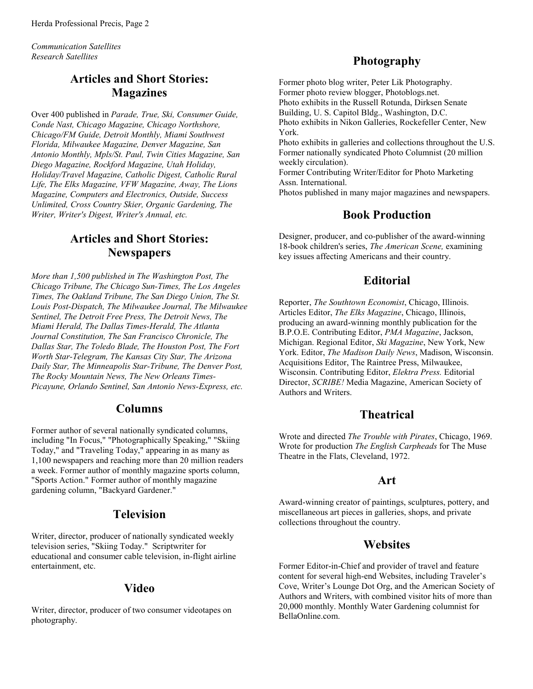*Communication Satellites Research Satellites*

### **Articles and Short Stories: Magazines**

Over 400 published in *Parade, True, Ski, Consumer Guide, Conde Nast, Chicago Magazine, Chicago Northshore, Chicago/FM Guide, Detroit Monthly, Miami Southwest Florida, Milwaukee Magazine, Denver Magazine, San Antonio Monthly, Mpls/St. Paul, Twin Cities Magazine, San Diego Magazine, Rockford Magazine, Utah Holiday, Holiday/Travel Magazine, Catholic Digest, Catholic Rural Life, The Elks Magazine, VFW Magazine, Away, The Lions Magazine, Computers and Electronics, Outside, Success Unlimited, Cross Country Skier, Organic Gardening, The Writer, Writer's Digest, Writer's Annual, etc.*

### **Articles and Short Stories: Newspapers**

*More than 1,500 published in The Washington Post, The Chicago Tribune, The Chicago Sun-Times, The Los Angeles Times, The Oakland Tribune, The San Diego Union, The St. Louis Post-Dispatch, The Milwaukee Journal, The Milwaukee Sentinel, The Detroit Free Press, The Detroit News, The Miami Herald, The Dallas Times-Herald, The Atlanta Journal Constitution, The San Francisco Chronicle, The Dallas Star, The Toledo Blade, The Houston Post, The Fort Worth Star-Telegram, The Kansas City Star, The Arizona Daily Star, The Minneapolis Star-Tribune, The Denver Post, The Rocky Mountain News, The New Orleans Times-Picayune, Orlando Sentinel, San Antonio News-Express, etc.*

### **Columns**

Former author of several nationally syndicated columns, including "In Focus," "Photographically Speaking," "Skiing Today," and "Traveling Today," appearing in as many as 1,100 newspapers and reaching more than 20 million readers a week. Former author of monthly magazine sports column, "Sports Action." Former author of monthly magazine gardening column, "Backyard Gardener."

### **Television**

Writer, director, producer of nationally syndicated weekly television series, "Skiing Today." Scriptwriter for educational and consumer cable television, in-flight airline entertainment, etc.

### **Video**

Writer, director, producer of two consumer videotapes on photography.

### **Photography**

Former photo blog writer, Peter Lik Photography. Former photo review blogger, Photoblogs.net. Photo exhibits in the Russell Rotunda, Dirksen Senate Building, U. S. Capitol Bldg., Washington, D.C. Photo exhibits in Nikon Galleries, Rockefeller Center, New York. Photo exhibits in galleries and collections throughout the U.S. Former nationally syndicated Photo Columnist (20 million weekly circulation). Former Contributing Writer/Editor for Photo Marketing Assn. International.

Photos published in many major magazines and newspapers.

### **Book Production**

Designer, producer, and co-publisher of the award-winning 18-book children's series, *The American Scene,* examining key issues affecting Americans and their country.

### **Editorial**

Reporter, *The Southtown Economist*, Chicago, Illinois. Articles Editor, *The Elks Magazine*, Chicago, Illinois, producing an award-winning monthly publication for the B.P.O.E. Contributing Editor, *PMA Magazine*, Jackson, Michigan. Regional Editor, *Ski Magazine*, New York, New York. Editor, *The Madison Daily News*, Madison, Wisconsin. Acquisitions Editor, The Raintree Press, Milwaukee, Wisconsin. Contributing Editor, *Elektra Press.* Editorial Director, *SCRIBE!* Media Magazine, American Society of Authors and Writers.

### **Theatrical**

Wrote and directed *The Trouble with Pirates*, Chicago, 1969. Wrote for production *The English Carpheads* for The Muse Theatre in the Flats, Cleveland, 1972.

#### **Art**

Award-winning creator of paintings, sculptures, pottery, and miscellaneous art pieces in galleries, shops, and private collections throughout the country.

#### **Websites**

Former Editor-in-Chief and provider of travel and feature content for several high-end Websites, including Traveler's Cove, Writer's Lounge Dot Org, and the American Society of Authors and Writers, with combined visitor hits of more than 20,000 monthly. Monthly Water Gardening columnist for BellaOnline.com.